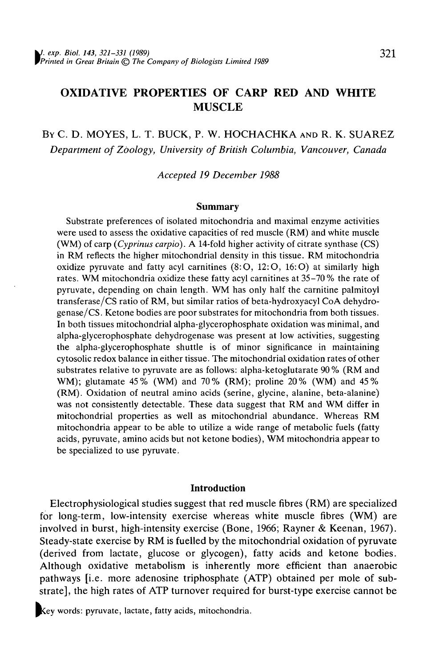# **OXIDATIVE PROPERTIES OF CARP RED AND WHITE MUSCLE**

BY C. D. MOYES, L. T. BUCK, P. W. HOCHACHKA AND R. K. SUAREZ *Department of Zoology, University of British Columbia, Vancouver, Canada*

*Accepted 19 December 1988*

#### **Summary**

Substrate preferences of isolated mitochondria and maximal enzyme activities were used to assess the oxidative capacities of red muscle (RM) and white muscle (WM) of carp *(Cyprinus carpio).* A 14-fold higher activity of citrate synthase (CS) in RM reflects the higher mitochondrial density in this tissue. RM mitochondria oxidize pyruvate and fatty acyl carnitines  $(8:O, 12:O, 16:O)$  at similarly high rates. WM mitochondria oxidize these fatty acyl carnitines at 35-70% the rate of pyruvate, depending on chain length. WM has only half the carnitine palmitoyl transferase/CS ratio of RM, but similar ratios of beta-hydroxyacyl CoA dehydrogenase/CS. Ketone bodies are poor substrates for mitochondria from both tissues. In both tissues mitochondrial alpha-glycerophosphate oxidation was minimal, and alpha-glycerophosphate dehydrogenase was present at low activities, suggesting the alpha-glycerophosphate shuttle is of minor significance in maintaining cytosolic redox balance in either tissue. The mitochondrial oxidation rates of other substrates relative to pyruvate are as follows: alpha-ketoglutarate 90% (RM and WM); glutamate 45% (WM) and 70% (RM); proline 20% (WM) and 45% (RM). Oxidation of neutral amino acids (serine, glycine, alanine, beta-alanine) was not consistently detectable. These data suggest that RM and WM differ in mitochondrial properties as well as mitochondrial abundance. Whereas RM mitochondria appear to be able to utilize a wide range of metabolic fuels (fatty acids, pyruvate, amino acids but not ketone bodies), WM mitochondria appear to be specialized to use pyruvate.

### Introduction

Electrophysiological studies suggest that red muscle fibres (RM) are specialized for long-term, low-intensity exercise whereas white muscle fibres (WM) are involved in burst, high-intensity exercise (Bone, 1966; Rayner & Keenan, 1967). Steady-state exercise by RM is fuelled by the mitochondrial oxidation of pyruvate (derived from lactate, glucose or glycogen), fatty acids and ketone bodies. Although oxidative metabolism is inherently more efficient than anaerobic pathways [i.e. more adenosine triphosphate (ATP) obtained per mole of substrate], the high rates of ATP turnover required for burst-type exercise cannot be

Key words: pyruvate, lactate, fatty acids, mitochondria.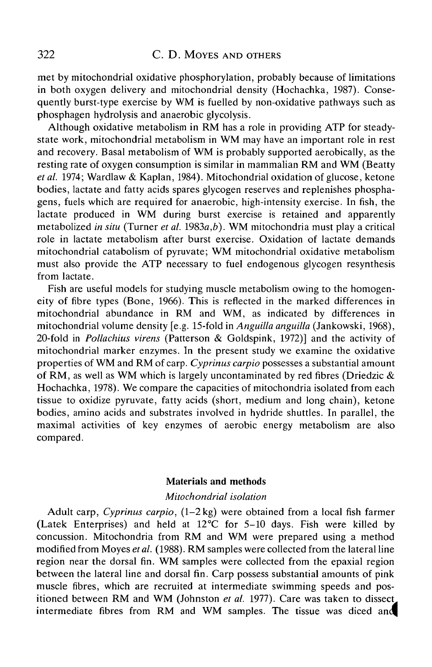met by mitochondrial oxidative phosphorylation, probably because of limitations in both oxygen delivery and mitochondrial density (Hochachka, 1987). Consequently burst-type exercise by WM is fuelled by non-oxidative pathways such as phosphagen hydrolysis and anaerobic glycolysis.

Although oxidative metabolism in RM has a role in providing ATP for steadystate work, mitochondrial metabolism in WM may have an important role in rest and recovery. Basal metabolism of WM is probably supported aerobically, as the resting rate of oxygen consumption is similar in mammalian RM and WM (Beatty *etal.* 1974; Wardlaw & Kaplan, 1984). Mitochondrial oxidation of glucose, ketone bodies, lactate and fatty acids spares glycogen reserves and replenishes phosphagens, fuels which are required for anaerobic, high-intensity exercise. In fish, the lactate produced in WM during burst exercise is retained and apparently metabolized *in situ* (Turner *et al.* 1983a,*b).* WM mitochondria must play a critical role in lactate metabolism after burst exercise. Oxidation of lactate demands mitochondrial catabolism of pyruvate; WM mitochondrial oxidative metabolism must also provide the ATP necessary to fuel endogenous glycogen resynthesis from lactate.

Fish are useful models for studying muscle metabolism owing to the homogeneity of fibre types (Bone, 1966). This is reflected in the marked differences in mitochondrial abundance in RM and WM, as indicated by differences in mitochondrial volume density [e.g. 15-fold in *Anguilla anguilla* (Jankowski, 1968), 20-fold in *Pollachius virens* (Patterson & Goldspink, 1972)] and the activity of mitochondrial marker enzymes. In the present study we examine the oxidative properties of WM and RM of carp. *Cyprinus carpio* possesses a substantial amount of RM, as well as WM which is largely uncontaminated by red fibres (Driedzic & Hochachka, 1978). We compare the capacities of mitochondria isolated from each tissue to oxidize pyruvate, fatty acids (short, medium and long chain), ketone bodies, amino acids and substrates involved in hydride shuttles. In parallel, the maximal activities of key enzymes of aerobic energy metabolism are also compared.

# Materials and methods

### *Mitochondrial isolation*

Adult carp, *Cyprinus carpio,* (1-2 kg) were obtained from a local fish farmer (Latek Enterprises) and held at 12°C for 5-10 days. Fish were killed by concussion. Mitochondria from RM and WM were prepared using a method modified from Moyes *etal.* (1988). RM samples were collected from the lateral line region near the dorsal fin. WM samples were collected from the epaxial region between the lateral line and dorsal fin. Carp possess substantial amounts of pink muscle fibres, which are recruited at intermediate swimming speeds and positioned between RM and WM (Johnston *et al.* 1977). Care was taken to dissect intermediate fibres from RM and WM samples. The tissue was diced and|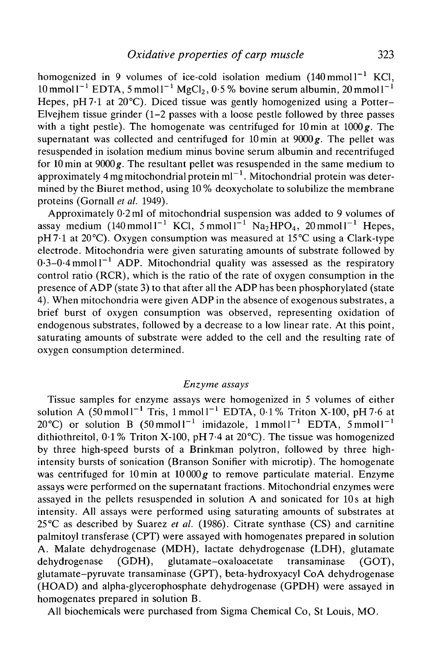homogenized in 9 volumes of ice-cold isolation medium  $(140 \text{ mmol})^{-1}$  KCl,  $10 \,\mathrm{mmol}\,$ l $^{-1}$  EDTA, 5 mmol $1^{-1}$  MgCl<sub>2</sub>, 0 $\cdot$ 5 % bovine serum albumin, 20 mmol $1^{-1}$ Hepes, pH7.1 at 20°C). Diced tissue was gently homogenized using a Potter-Elvejhem tissue grinder (1-2 passes with a loose pestle followed by three passes with a tight pestle). The homogenate was centrifuged for lOmin at 1000*g.* The supernatant was collected and centrifuged for lOmin at 9000*g.* The pellet was resuspended in isolation medium minus bovine serum albumin and recentrifuged for lOmin at 9000*g.* The resultant pellet was resuspended in the same medium to approximately 4 mg mitochondrial protein ml $^{-1}$  . Mitochondrial protein was determined by the Biuret method, using 10 % deoxycholate to solubilize the membrane proteins (Gornall *et al.* 1949).

Approximately 0-2 ml of mitochondrial suspension was added to 9 volumes of assay medium  $(140 \text{mmol1}^{-1} \text{ KCl}, 5 \text{mmol1}^{-1} \text{ Na}_2 \text{HPO}_4, 20 \text{mmol1}^{-1} \text{Hepes},$ pH7-l at 20°C). Oxygen consumption was measured at 15°C using a Clark-type electrode. Mitochondria were given saturating amounts of substrate followed by  $0.3-0.4$  mmol  $1^{-1}$  ADP. Mitochondrial quality was assessed as the respiratory control ratio (RCR), which is the ratio of the rate of oxygen consumption in the presence of ADP (state 3) to that after all the ADP has been phosphorylated (state 4). When mitochondria were given ADP in the absence of exogenous substrates, a brief burst of oxygen consumption was observed, representing oxidation of endogenous substrates, followed by a decrease to a low linear rate. At this point, saturating amounts of substrate were added to the cell and the resulting rate of oxygen consumption determined.

# *Enzyme assays*

Tissue samples for enzyme assays were homogenized in 5 volumes of either solution A  $(50 \text{ mmol1}^{-1} \text{ Tris}, 1 \text{ mmol1}^{-1} \text{ EDTA}, 0.1\% \text{ Triton X-100}, pH 7.6 \text{ at}$ 20 °C) or solution B  $(50 \text{ mmol1}^{-1} \text{ imidazole}, 1 \text{ mmol1}^{-1} \text{ EDTA}, 5 \text{ mmol1}^{-1}$ dithiothreitol, 0-1% Triton X-100, pH7-4 at 20°C). The tissue was homogenized by three high-speed bursts of a Brinkman polytron, followed by three highintensity bursts of sonication (Branson Sonifier with microtip). The homogenate was centrifuged for lOmin at 10000*g* to remove particulate material. Enzyme assays were performed on the supernatant fractions. Mitochondrial enzymes were assayed in the pellets resuspended in solution A and sonicated for 10s at high intensity. All assays were performed using saturating amounts of substrates at 25 °C as described by Suarez *et al.* (1986). Citrate synthase (CS) and carnitine palmitoyl transferase (CPT) were assayed with homogenates prepared in solution A. Malate dehydrogenase (MDH), lactate dehydrogenase (LDH), glutamate dehydrogenase (GDH), glutamate-oxaloacetate transaminase (GOT), glutamate-pyruvate transaminase (GPT), beta-hydroxyacyl CoA dehydrogenase (HOAD) and alpha-glycerophosphate dehydrogenase (GPDH) were assayed in homogenates prepared in solution B.

All biochemicals were purchased from Sigma Chemical Co, St Louis, MO.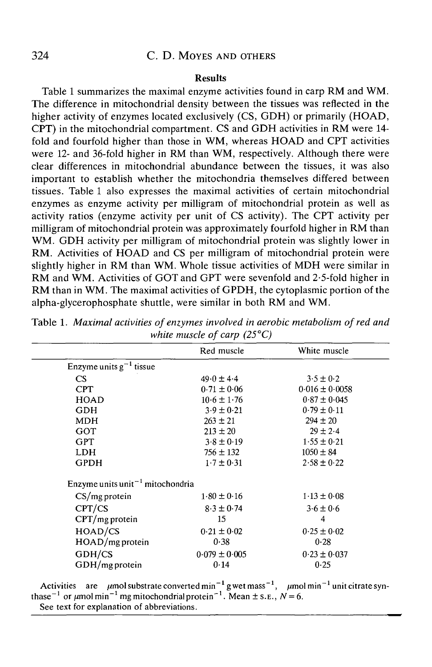# 324 C. D. MOYES AND OTHERS

### **Results**

Table 1 summarizes the maximal enzyme activities found in carp RM and WM. The difference in mitochondrial density between the tissues was reflected in the higher activity of enzymes located exclusively (CS, GDH) or primarily (HOAD, CPT) in the mitochondrial compartment. CS and GDH activities in RM were 14 fold and fourfold higher than those in WM, whereas HOAD and CPT activities were 12- and 36-fold higher in RM than WM, respectively. Although there were clear differences in mitochondrial abundance between the tissues, it was also important to establish whether the mitochondria themselves differed between tissues. Table 1 also expresses the maximal activities of certain mitochondrial enzymes as enzyme activity per milligram of mitochondrial protein as well as activity ratios (enzyme activity per unit of CS activity). The CPT activity per milligram of mitochondrial protein was approximately fourfold higher in RM than WM. GDH activity per milligram of mitochondrial protein was slightly lower in RM. Activities of HOAD and CS per milligram of mitochondrial protein were slightly higher in RM than WM. Whole tissue activities of MDH were similar in RM and WM. Activities of GOT and GPT were sevenfold and 2-5-fold higher in RM than in WM. The maximal activities of GPDH, the cytoplasmic portion of the alpha-glycerophosphate shuttle, were similar in both RM and WM.

|                                              | Red muscle        | White muscle       |  |  |  |
|----------------------------------------------|-------------------|--------------------|--|--|--|
| Enzyme units $g^{-1}$ tissue                 |                   |                    |  |  |  |
| <b>CS</b>                                    | $49.0 \pm 4.4$    | $3.5 \pm 0.2$      |  |  |  |
| <b>CPT</b>                                   | $0.71 \pm 0.06$   | $0.016 \pm 0.0058$ |  |  |  |
| <b>HOAD</b>                                  | $10.6 \pm 1.76$   | $0.87 \pm 0.045$   |  |  |  |
| <b>GDH</b>                                   | $3.9 \pm 0.21$    | $0.79 \pm 0.11$    |  |  |  |
| <b>MDH</b>                                   | $263 \pm 21$      | $294 \pm 20$       |  |  |  |
| GOT                                          | $213 \pm 20$      | $29 \pm 2.4$       |  |  |  |
| <b>GPT</b>                                   | $3.8 \pm 0.19$    | $1.55 \pm 0.21$    |  |  |  |
| <b>LDH</b>                                   | $756 \pm 132$     | $1050 \pm 84$      |  |  |  |
| <b>GPDH</b>                                  | $1.7 \pm 0.31$    | $2.58 \pm 0.22$    |  |  |  |
| Enzyme units unit <sup>-1</sup> mitochondria |                   |                    |  |  |  |
| $CS/mg$ protein                              | $1.80 \pm 0.16$   | $1.13 \pm 0.08$    |  |  |  |
| CPT/CS                                       | $8.3 \pm 0.74$    | $3.6 \pm 0.6$      |  |  |  |
| $CPT/mg$ protein                             | 15                | 4                  |  |  |  |
| HOAD/CS                                      | $0.21 \pm 0.02$   | $0.25 \pm 0.02$    |  |  |  |
| $HOAD/mg$ protein                            | 0.38              | 0.28               |  |  |  |
| GDH/CS                                       | $0.079 \pm 0.005$ | $0.23 \pm 0.037$   |  |  |  |
| GDH/mg protein                               | 0.14              | 0.25               |  |  |  |
|                                              |                   |                    |  |  |  |

Table 1. *Maximal activities of enzymes involved in aerobic metabolism of red and white muscle of carp (25°C)*

Activities are  $\mu$  mol substrate converted min<sup>-1</sup> g wet mass thase<sup>-1</sup> or  $\mu$ mol min<sup>-1</sup> mg mitochondrial protein<sup>-1</sup>. Mean ± s. See text for explanation of abbreviations.  $^{-1}$ ,  $\mu$ mol min<sup>-1</sup> unit citrate syn- $E., N = 6.$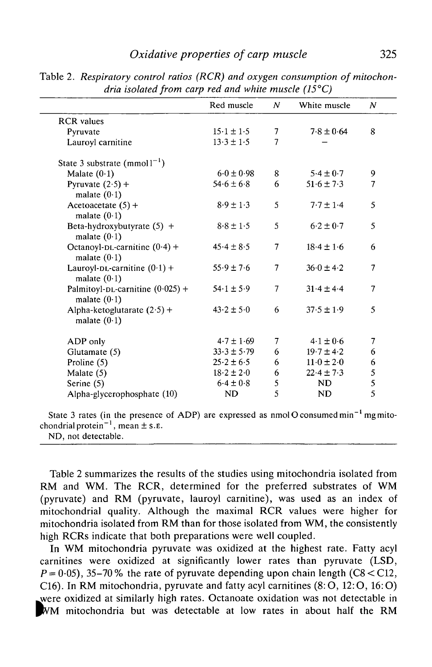# *Oxidative properties of carp muscle* 325

|                                                      | Red muscle      | $\overline{N}$ | White muscle               | $\boldsymbol{N}$ |
|------------------------------------------------------|-----------------|----------------|----------------------------|------------------|
| <b>RCR</b> values                                    |                 |                |                            |                  |
| Pyruvate                                             | $15.1 \pm 1.5$  | 7              | $7.8 \pm 0.64$             | 8                |
| Lauroyl carnitine                                    | $13.3 \pm 1.5$  | 7              |                            |                  |
| State 3 substrate (mmol $1^{-1}$ )                   |                 |                |                            |                  |
| Malate $(0.1)$                                       | $6.0 \pm 0.98$  | 8              | $5.4 \pm 0.7$              | 9                |
| Pyruvate $(2.5)$ +<br>malate $(0.1)$                 | $54.6 \pm 6.8$  | 6              | $51.6 \pm 7.3$             | $\overline{7}$   |
| Acetoacetate $(5)$ +<br>malate $(0.1)$               | $8.9 \pm 1.3$   | 5              | $7.7 \pm 1.4$              | 5                |
| Beta-hydroxybutyrate $(5)$ +<br>malate $(0.1)$       | $8.8 \pm 1.5$   | 5              | $6.2 \pm 0.7$              | 5                |
| Octanoyl-DL-carnitine $(0.4)$ +<br>malate $(0.1)$    | $45.4 \pm 8.5$  | $\overline{7}$ | $18.4 \pm 1.6$             | 6                |
| Lauroyl-DL-carnitine $(0.1)$ +<br>malate $(0.1)$     | $55.9 \pm 7.6$  | 7              | $36.0 \pm 4.2$             | 7                |
| Palmitoyl-DL-carnitine $(0.025)$ +<br>malate $(0.1)$ | $54.1 \pm 5.9$  | $\overline{7}$ | $31.4 \pm 4.4$             | 7                |
| Alpha-ketoglutarate $(2.5)$ +<br>malate $(0.1)$      | $43.2 \pm 5.0$  | 6              | $37.5 \pm 1.9$             | 5                |
| ADP only                                             | $4.7 \pm 1.69$  | 7              | $4.1 \pm 0.6$              | $\overline{7}$   |
| Glutamate (5)                                        | $33.3 \pm 5.79$ | 6              | $19.7 \pm 4.2$             | 6                |
| Proline $(5)$                                        | $25.2 \pm 6.5$  | 6              | $11 \cdot 0 \pm 2 \cdot 0$ | 6                |
| Malate (5)                                           | $18.2 \pm 2.0$  | 6              | $22.4 \pm 7.3$             |                  |
| Serine $(5)$                                         | $6.4 \pm 0.8$   | 5              | ND                         | $\frac{5}{5}$    |
| Alpha-glycerophosphate (10)                          | <b>ND</b>       | 5              | <b>ND</b>                  | 5                |

Table *2. Respiratory control ratios (RCR) and oxygen consumption of mitochondria isolated from carp red and white muscle (15°C)*

State 3 rates (in the presence of ADP) are expressed as nmolO consumed min<sup>-1</sup> mg mitochondrial protein<sup>-1</sup>, mean  $\pm$  s. E.

ND, not detectable.

Table 2 summarizes the results of the studies using mitochondria isolated from RM and WM. The RCR, determined for the preferred substrates of WM (pyruvate) and RM (pyruvate, lauroyl carnitine), was used as an index of mitochondrial quality. Although the maximal RCR values were higher for mitochondria isolated from RM than for those isolated from WM, the consistently high RCRs indicate that both preparations were well coupled.

In WM mitochondria pyruvate was oxidized at the highest rate. Fatty acyl carnitines were oxidized at significantly lower rates than pyruvate (LSD,  $P = 0.05$ ), 35-70% the rate of pyruvate depending upon chain length (C8 < C12, C16). In RM mitochondria, pyruvate and fatty acyl carnitines (8:O, 12:0, 16:0) were oxidized at similarly high rates. Octanoate oxidation was not detectable in WM mitochondria but was detectable at low rates in about half the RM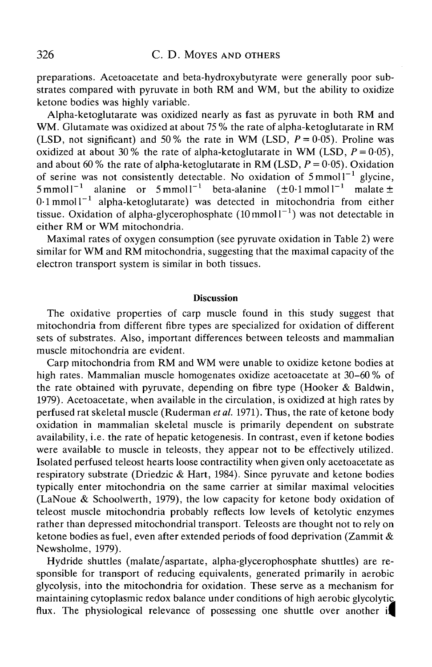preparations. Acetoacetate and beta-hydroxybutyrate were generally poor substrates compared with pyruvate in both RM and WM, but the ability to oxidize ketone bodies was highly variable.

Alpha-ketoglutarate was oxidized nearly as fast as pyruvate in both RM and WM. Glutamate was oxidized at about 75 % the rate of alpha-ketoglutarate in RM (LSD, not significant) and 50% the rate in WM (LSD,  $P = 0.05$ ). Proline was oxidized at about 30% the rate of alpha-ketoglutarate in WM (LSD,  $P = 0.05$ ), and about 60 % the rate of alpha-ketoglutarate in RM (LSD,  $P = 0.05$ ). Oxidation of serine was not consistently detectable. No oxidation of  $5 \text{ mmol}1^{-1}$  glycine,  $5$ mmol $l^{-1}$ <sup>1</sup> alanine or 5 mmol<sup>-1</sup> beta-alanine  $(\pm 0.1 \text{ mmol})^{-1}$  malate  $\pm$  $0.1$  mmoll<sup>-1</sup> alpha-ketoglutarate) was detected in mitochondria from either tissue. Oxidation of alpha-glycerophosphate  $(10 \text{ mmol1}^{-1})$  was not detectable in either RM or WM mitochondria.

Maximal rates of oxygen consumption (see pyruvate oxidation in Table 2) were similar for WM and RM mitochondria, suggesting that the maximal capacity of the electron transport system is similar in both tissues.

### **Discussion**

The oxidative properties of carp muscle found in this study suggest that mitochondria from different fibre types are specialized for oxidation of different sets of substrates. Also, important differences between teleosts and mammalian muscle mitochondria are evident.

Carp mitochondria from RM and WM were unable to oxidize ketone bodies at high rates. Mammalian muscle homogenates oxidize acetoacetate at 30–60% of the rate obtained with pyruvate, depending on fibre type (Hooker & Baldwin, 1979). Acetoacetate, when available in the circulation, is oxidized at high rates by perfused rat skeletal muscle (Ruderman *etal.* 1971). Thus, the rate of ketone body oxidation in mammalian skeletal muscle is primarily dependent on substrate availability, i.e. the rate of hepatic ketogenesis. In contrast, even if ketone bodies were available to muscle in teleosts, they appear not to be effectively utilized. Isolated perfused teleost hearts loose contractility when given only acetoacetate as respiratory substrate (Driedzic & Hart, 1984). Since pyruvate and ketone bodies typically enter mitochondria on the same carrier at similar maximal velocities (LaNoue & Schoolwerth, 1979), the low capacity for ketone body oxidation of teleost muscle mitochondria probably reflects low levels of ketolytic enzymes rather than depressed mitochondrial transport. Teleosts are thought not to rely on ketone bodies as fuel, even after extended periods of food deprivation (Zammit & Newsholme, 1979).

Hydride shuttles (malate/aspartate, alpha-glycerophosphate shuttles) are responsible for transport of reducing equivalents, generated primarily in aerobic glycolysis, into the mitochondria for oxidation. These serve as a mechanism for maintaining cytoplasmic redox balance under conditions of high aerobic glycolytic flux. The physiological relevance of possessing one shuttle over another if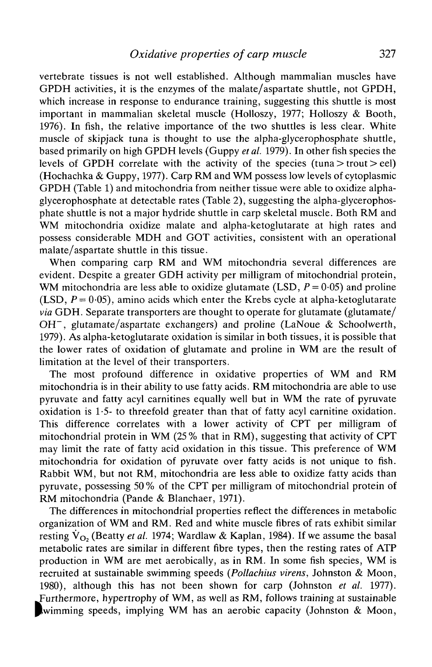vertebrate tissues is not well established. Although mammalian muscles have GPDH activities, it is the enzymes of the malate/aspartate shuttle, not GPDH, which increase in response to endurance training, suggesting this shuttle is most important in mammalian skeletal muscle (Holloszy, 1977; Holloszy & Booth, 1976). In fish, the relative importance of the two shuttles is less clear. White muscle of skipjack tuna is thought to use the alpha-glycerophosphate shuttle, based primarily on high GPDH levels (Guppy *et al.* 1979). In other fish species the levels of GPDH correlate with the activity of the species (tuna  $>$  trout  $>$  eel) (Hochachka *&* Guppy, 1977). Carp RM and WM possess low levels of cytoplasmic GPDH (Table 1) and mitochondria from neither tissue were able to oxidize alphaglycerophosphate at detectable rates (Table 2), suggesting the alpha-glycerophosphate shuttle is not a major hydride shuttle in carp skeletal muscle. Both RM and WM mitochondria oxidize malate and alpha-ketoglutarate at high rates and possess considerable MDH and GOT activities, consistent with an operational malate/aspartate shuttle in this tissue.

When comparing carp RM and WM mitochondria several differences are evident. Despite a greater GDH activity per milligram of mitochondrial protein, WM mitochondria are less able to oxidize glutamate (LSD,  $P = 0.05$ ) and proline (LSD,  $P = 0.05$ ), amino acids which enter the Krebs cycle at alpha-ketoglutarate *via* GDH. Separate transporters are thought to operate for glutamate (glutamate/  $OH^-$ , glutamate/aspartate exchangers) and proline (LaNoue & Schoolwerth, 1979). As alpha-ketoglutarate oxidation is similar in both tissues, it is possible that the lower rates of oxidation of glutamate and proline in WM are the result of limitation at the level of their transporters.

The most profound difference in oxidative properties of WM and RM mitochondria is in their ability to use fatty acids. RM mitochondria are able to use pyruvate and fatty acyl carnitines equally well but in WM the rate of pyruvate oxidation is 1-5- to threefold greater than that of fatty acyl carnitine oxidation. This difference correlates with a lower activity of CPT per milligram of mitochondrial protein in WM (25% that in RM), suggesting that activity of CPT may limit the rate of fatty acid oxidation in this tissue. This preference of WM mitochondria for oxidation of pyruvate over fatty acids is not unique to fish. Rabbit WM, but not RM, mitochondria are less able to oxidize fatty acids than pyruvate, possessing 50% of the CPT per milligram of mitochondrial protein of RM mitochondria (Pande & Blanchaer, 1971).

The differences in mitochondrial properties reflect the differences in metabolic organization of WM and RM. Red and white muscle fibres of rats exhibit similar resting  $V_{\Omega}$ , (Beatty *et al.* 1974; Wardlaw & Kaplan, 1984). If we assume the basal metabolic rates are similar in different fibre types, then the resting rates of ATP production in WM are met aerobically, as in RM. In some fish species, WM is recruited at sustainable swimming speeds *(Pollachius virens,* Johnston & Moon, 1980), although this has not been shown for carp (Johnston *et al.* 1977). furthermore, hypertrophy of WM, as well as RM, follows training at sustainable wimming speeds, implying WM has an aerobic capacity (Johnston  $& Moon,$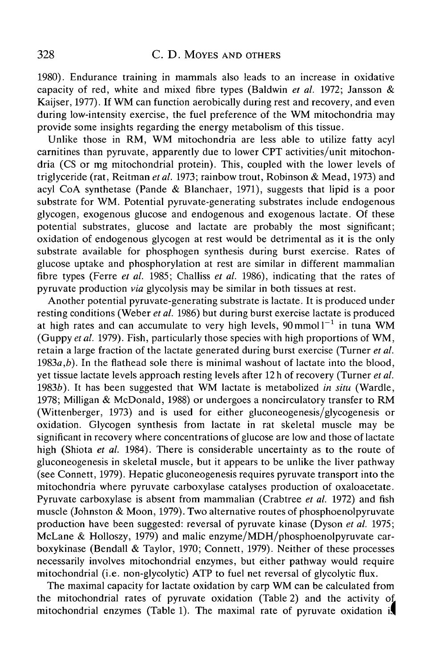# 328 C.D. MOYES AND OTHERS

1980). Endurance training in mammals also leads to an increase in oxidative capacity of red, white and mixed fibre types (Baldwin *et al.* 1972; Jansson & Kaijser, 1977). If WM can function aerobically during rest and recovery, and even during low-intensity exercise, the fuel preference of the WM mitochondria may provide some insights regarding the energy metabolism of this tissue.

Unlike those in RM, WM mitochondria are less able to utilize fatty acyl carnitines than pyruvate, apparently due to lower CPT activities/unit mitochondria (CS or mg mitochondrial protein). This, coupled with the lower levels of triglyceride (rat, Reitman *etal.* 1973; rainbow trout, Robinson & Mead, 1973) and acyl CoA synthetase (Pande & Blanchaer, 1971), suggests that lipid is a poor substrate for WM. Potential pyruvate-generating substrates include endogenous glycogen, exogenous glucose and endogenous and exogenous lactate. Of these potential substrates, glucose and lactate are probably the most significant; oxidation of endogenous glycogen at rest would be detrimental as it is the only substrate available for phosphogen synthesis during burst exercise. Rates of glucose uptake and phosphorylation at rest are similar in different mammalian fibre types (Ferre *et al.* 1985; Challiss *et al.* 1986), indicating that the rates of pyruvate production *via* glycolysis may be similar in both tissues at rest.

Another potential pyruvate-generating substrate is lactate. It is produced under resting conditions (Weber *et al.* 1986) but during burst exercise lactate is produced at high rates and can accumulate to very high levels,  $90$  mmol  $1^{-1}$  in tuna WM (Guppy *et al.* 1979). Fish, particularly those species with high proportions of WM, retain a large fraction of the lactate generated during burst exercise (Turner *et al.* 1983a,*b).* In the flathead sole there is minimal washout of lactate into the blood, yet tissue lactate levels approach resting levels after 12 h of recovery (Turner *et al.* 1983b). It has been suggested that WM lactate is metabolized *in situ* (Wardle, 1978; Milligan & McDonald, 1988) or undergoes a noncirculatory transfer to RM (Wittenberger, 1973) and is used for either gluconeogenesis/glycogenesis or oxidation. Glycogen synthesis from lactate in rat skeletal muscle may be significant in recovery where concentrations of glucose are low and those of lactate high (Shiota *et al.* 1984). There is considerable uncertainty as to the route of gluconeogenesis in skeletal muscle, but it appears to be unlike the liver pathway (see Connett, 1979). Hepatic gluconeogenesis requires pyruvate transport into the mitochondria where pyruvate carboxylase catalyses production of oxaloacetate. Pyruvate carboxylase is absent from mammalian (Crabtree *et al.* 1972) and fish muscle (Johnston & Moon, 1979). Two alternative routes of phosphoenolpyruvate production have been suggested: reversal of pyruvate kinase (Dyson *et al.* 1975; McLane & Holloszy, 1979) and malic enzyme/MDH/phosphoenolpyruvate carboxykinase (Bendall & Taylor, 1970; Connett, 1979). Neither of these processes necessarily involves mitochondrial enzymes, but either pathway would require mitochondrial (i.e. non-glycolytic) ATP to fuel net reversal of glycolytic flux.

The maximal capacity for lactate oxidation by carp WM can be calculated from the mitochondrial rates of pyruvate oxidation (Table 2) and the activity of mitochondrial enzymes (Table 1). The maximal rate of pyruvate oxidation if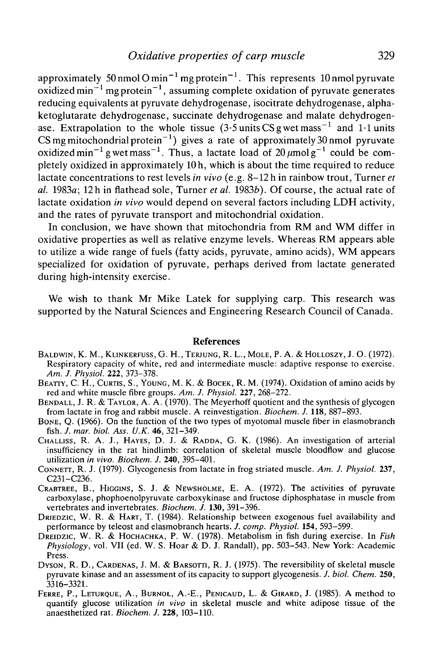approximately 50 nmol O min<sup>-1</sup> mg protein<sup>-1</sup>. This represents 10 nmol pyruvate oxidized min $^{-1}$  mg protein $^{-1}$ , assuming complete oxidation of pyruvate generates reducing equivalents at pyruvate dehydrogenase, isocitrate dehydrogenase, alphaketoglutarate dehydrogenase, succinate dehydrogenase and malate dehydrogenase. Extrapolation to the whole tissue  $(3.5 \text{ units CS g wet mass}^{-1}$  and 1.1 units CS mg mitochondrial protein<sup>-1</sup>) gives a rate of approximately 30 nmol pyruvate oxidized min<sup>-1</sup> g wet mass<sup>-1</sup>. Thus, a lactate load of 20  $\mu$ molg<sup>-1</sup> could be completely oxidized in approximately 10 h, which is about the time required to reduce lactate concentrations to rest levels *in vivo* (e.g. 8-12 h in rainbow trout, Turner *et al.* 1983a; 12 h in flathead sole, Turner *et al.* 19836). Of course, the actual rate of lactate oxidation *in vivo* would depend on several factors including LDH activity, and the rates of pyruvate transport and mitochondrial oxidation.

In conclusion, we have shown that mitochondria from RM and WM differ in oxidative properties as well as relative enzyme levels. Whereas RM appears able to utilize a wide range of fuels (fatty acids, pyruvate, amino acids), WM appears specialized for oxidation of pyruvate, perhaps derived from lactate generated during high-intensity exercise.

We wish to thank Mr Mike Latek for supplying carp. This research was supported by the Natural Sciences and Engineering Research Council of Canada.

#### References

- BALDWIN, K. M., KLINKERFUSS, G. H., TERJUNG, R. L., MOLE, P. A. & HOLLOSZY, J. O. (1972).<br>Respiratory capacity of white, red and intermediate muscle: adaptive response to exercise.<br>Am. J. Physiol. 222, 373-378.
- *BEATTY, C. H., CURTIS, S., YOUNG, M. K. & BOCEK, R. M. (1974). Oxidation of amino acids by* red and white muscle fibre groups. Am. J. Physiol. 227, 268–272.
- BENDALL, J. R. & TAYLOR, A. A. (1970). The Meyerhoff quotient and the synthesis of glycogen from lactate in frog and rabbit muscle. A reinvestigation. *Biochem. J.* **118,** 887-893. BONE, Q. (1966). On the function of the two types of myotomal muscle fiber in elasmobranch
- fish. *J. mar. biol. Ass. U.K.* 46, 321-349. CHALLISS, R. A. J., HAYES, D. J. & RADDA, G. K. (1986). An investigation of arterial
- insufficiency in the rat hindlimb: correlation of skeletal muscle bloodflow and glucose utilization *in vivo. Biochem. J.* **240,** 395-401. CONNETT, R. J. (1979). Glycogenesis from lactate in frog striated muscle. *Am. J. Physiol.* **237,**
- C231-C236. CRABTREE, B., HIGGINS, S. J. & NEWSHOLME, E. A. (1972). The activities of pyruvate
- carboxylase, phophoenolpyruvate carboxykinase and fructose diphosphatase in muscle from vertebrates and invertebrates. *Biochem. J.* 130, 391-396.
- DRIEDZIC, W. R. & HART, T. (1984). Relationship between exogenous fuel availability and performance by teleost and elasmobranch hearts. *J. comp. Physiol.* **154,** 593-599. DREIDZIC, W. R. & HOCHACHKA, P. W. (1978). Metabolism in fish during exercise. In *Fish*
- *Physiology,* vol. VII (ed. W. S. Hoar & D. J. Randall), pp. 503-543. New York: Academic Press.<br>Dyson, R. D., Cardenas, J. M. & Barsorti, R. J. (1975). The reversibility of skeletal muscle
- pyruvate kinase and an assessment of its capacity to support glycogenesis. /. *biol. Chem.* **250,**
- 3316-3321. FERRE, P., LETURQUE, A., BURNOL, A.-E., PENICAUD, L. & GIRARD, J. (1985). A method to quantify glucose utilization *in vivo* in skeletal muscle and white adipose tissue of the anaesthetized rat. *Biochem. J.* **228,** 103-110.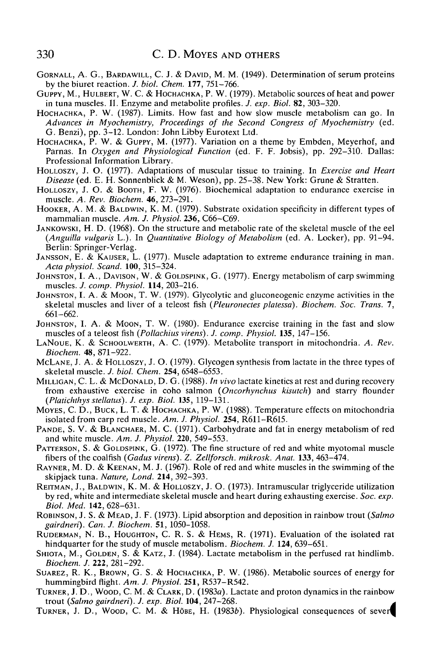- GORNALL, A. G., BARDAWILL, C. J. & DAVID, M. M. (1949). Determination of serum proteins by the biuret reaction. J. biol. Chem. 177, 751–766.
- GUPPY, M., HULBERT, W. C. & HOCHACHKA, P. W. (1979). Metabolic sources of heat and power in tuna muscles. II. Enzyme and metabolite profiles. *J. exp. Biol.* **82**, 303–320.
- HOCHACHKA, P. W. (1987). Limits. How fast and how slow muscle metabolism can go. In *Advances in Myochemistry, Proceedings of the Second Congress of Myochemistry* (ed.
- HOCHACHKA, P. W. & GUPPY, M. (1977). Variation on a theme by Embden, Meyerhof, and Parnas. In *Oxygen and Physiological Function* (ed. F. F. Jobsis), pp. 292-310. Dallas:
- HOLLOSZY, J. O. (1977). Adaptations of muscular tissue to training. In *Exercise and Heart*
- *Disease* (ed. E. H. Sonnenblick & M. Weson), pp. 25–38. New York: Grune & Stratten. HOLLOSZY, J. O. & BOOTH, F. W. (1976). Biochemical adaptation to endurance exercise in muscle. A. Rev. Biochem. **46**, 273–291.
- HOOKER, A. M. & BALDWIN, K. M. (1979). Substrate oxidation specificity in different types of mammalian muscle. Am. J. Physiol. 236, C66-C69.
- JANKOWSKI, H. D. (1968). On the structure and metabolic rate of the skeletal muscle of the eel *(Anguilla vulgaris L.).* In *Quantitative Biology of Metabolism* (ed. A. Locker), pp. 91–94. Berlin: Springer-Verlag.<br>JANSSON, E. & KAIJSER, L. (1977). Muscle adaptation to extreme endurance training in man.<br>*Acta physiol*
- 
- JOHNSTON, I. A., DAVISON, W. & GOLDSPINK, G. (1977). Energy metabolism of carp swimming muscles. *J. comp. Physiol.* **114**, 203-216.
- JOHNSTON, I. A. & MOON, T. W. (1979). Glycolytic and gluconeogenic enzyme activities in the skeletal muscles and liver of a teleost fish (*Pleuronectes platessa*). *Biochem. Soc. Trans.* 7, 661–662.<br>JOHNSTON, I. A. & MOON, T. W. (1980). Endurance exercise training in the fast and slow
- muscles of a teleost fish *(Pollachius virens). J. comp. Physiol.* **135,** 147-156. LANOUE, K. & SCHOOLWERTH, A. C. (1979). Metabolite transport in mitochondria. *A. Rev.*
- *Biochem.* 48, 871–922.<br>MCLANE, J. A. & HOLLOSZY, J. O. (1979). Glycogen synthesis from lactate in the three types of
- skeletal muscle. *J. biol. Chem.* **254,** 6548-6553. MILLIGAN, C. L. & MCDONALD, D. G. (1988). *In vivo* lactate kinetics at rest and during recovery
- from exhaustive exercise in coho salmon *(Oncorhynchus kisutch)* and starry flounder
- *Moyes, C. D., Buck, L. T. & Hochachka, P. W. (1988). Temperature effects on mitochondria* isolated from carp red muscle. *Am. J. Physiol.* 254, R611–R615.
- PANDE, S. V. & BLANCHAER, M. C. (1971). Carbohydrate and fat in energy metabolism of red and white muscle. Am. J. Physiol. 220, 549–553.
- PATTERSON, S. & GOLDSPINK, G. (1972). The fine structure of red and white myotomal muscle fibers of the coalfish *(Gadus virens). Z. Zellforsch. mikrosk. Anat.* **133,** 463-474. RAYNER, M. D. & KEENAN, M. J. (1967). Role of red and white muscles in the swimming of the
- skipjack tuna. *Nature, Lond.* **214,** 392-393. REITMAN, J., BALDWIN, K. M. & HOLLOSZY, J. O. (1973). Intramuscular triglyceride utilization
- by red, white and intermediate skeletal muscle and heart during exhausting exercise. *Soc. exp. Biol. Med.* **142,** 628-631. ROBINSON, J. S. & MEAD, J. F. (1973). Lipid absorption and deposition in rainbow trout *(Salmo*
- *gairdneri*). *Can. J. Biochem.* 51, 1050-1058.<br>RUDERMAN, N. B., HOUGHTON, C. R. S. & HEMS, R. (1971). Evaluation of the isolated rat
- hindquarter for the study of muscle metabolism. *Biochem. J.* **124**, 639–651.<br>SHIOTA, M., GOLDEN, S. & KATZ, J. (1984). Lactate metabolism in the perfused rat hindlimb.
- *Biochem. J.* 222, 281–292.<br>SUAREZ, R. K., BROWN, G. S. & HOCHACHKA, P. W. (1986). Metabolic sources of energy for
- hummingbird flight. *Am. J. Physiol.* 251, R537–R542.<br>TURNER, J. D., WOOD, C. M. & CLARK, D. (1983*a*). Lactate and proton dynamics in the rainbow
- trout *(Salmo gairdneri). J. exp. Biol.* **104,** 247-268. >
- TURNER, J. D., WOOD, C. M. & HOBE, H.  $(1983b)$ . Physiological consequences of sever